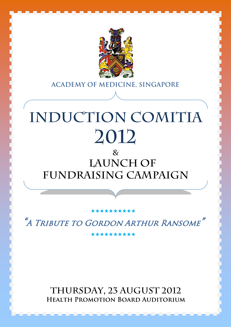

### **ACADEMY OF MEDICINE, SINGAPORE**

# **INDUCTION COMITIA 2012**

# **& LAUNCH OF FUNDRAISING CAMPAIGN**

\*\*\*\*\*\*\*\*\*\*

"A TRIBUTE TO GORDON ARTHUR RANSOME" \*\*\*\*\*\*\*\*\*\*

### **Thursday, 23 August 2012 Health Promotion Board Auditorium**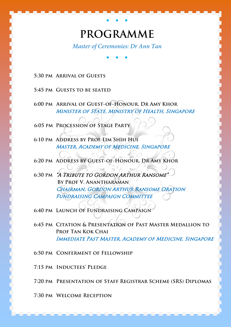# **PROGRAMME**

● ● ●

*Master of Ceremonies: Dr Ann Tan* 

● ● ●

**5:30 pm Arrival of Guests**

**5:45 pm Guests to be seated**

**6:00 pm Arrival of Guest-of-Honour, Dr Amy Khor** MINISTER OF STATE, MINISTRY OF HEALTH, SINGAPORE

 **6:05 pm Procession of Stage Party**

**6:10 pm Address by Prof Lim Shih Hui** Master, Academy of Medicine, Singapore

**6:20 pm Address by Guest-of-Honour, Dr Amy Khor**

**6:30 pm** "A Tribute to Gordon Arthur Ransome" **By Prof V. Anantharaman** CHAIRMAN, GORDON ARTHUR RANSOME ORATION FUNDRAISING CAMPAIGN COMMITTEE

**6:40 pm Launch of Fundraising Campaign**

**6:45 pm Citation & Presentation of Past Master Medallion to Prof Tan Kok Chai** Immediate Past Master, Academy of Medicine, Singapore

**6:50 pm Conferment of Fellowship**

**7:15 pm Inductees' Pledge**

**7:20 pm Presentation of Staff Registrar Scheme (SRS) Diplomas**

**7:30 pm Welcome Reception**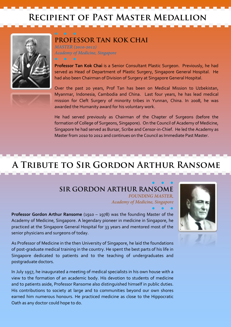## **Recipient of Past Master Medallion**



### **PROFESSOR TAN KOK CHAI**

*MASTER (2010-2012) Academy of Medicine, Singapore*

**Professor Tan Kok Chai** is a Senior Consultant Plastic Surgeon. Previously, he had served as Head of Department of Plastic Surgery, Singapore General Hospital. He had also been Chairman of Division of Surgery at Singapore General Hospital.

Over the past 20 years, Prof Tan has been on Medical Mission to Uzbekistan, Myanmar, Indonesia, Cambodia and China. Last four years, he has lead medical mission for Cleft Surgery of minority tribes in Yunnan, China. In 2008, he was awarded the Humanity award for his voluntary work.

He had served previously as Chairman of the Chapter of Surgeons (before the formation of College of Surgeons, Singapore). On the Council of Academy of Medicine, Singapore he had served as Bursar, Scribe and Censor-in-Chief. He led the Academy as Master from 2010 to 2012 and continues on the Council as Immediate Past Master.

# **A Tribute to Sir Gordon Arthur Ransome**

#### ● ● ● **SIR GORDON ARTHUR RANSOME**

*FOUNDING MASTER, Academy of Medicine, Singapore*

● ● ●

 practiced at the Singapore General Hospital for 33 years and mentored most of the senior physicians and surgeons of today. **Professor Gordon Arthur Ransome** (1910 – 1978) was the founding Master of the Academy of Medicine, Singapore. A legendary pioneer in medicine in Singapore, he

۱

 As Professor of Medicine in the then University of Singapore, he laid the foundations of post-graduate medical training in the country. He spent the best parts of his life in Singapore dedicated to patients and to the teaching of undergraduates and postgraduate doctors.

In July 1957, he inaugurated a meeting of medical specialists in his own house with a view to the formation of an academic body. His devotion to students of medicine and to patients aside, Professor Ransome also distinguished himself in public duties. His contributions to society at large and to communities beyond our own shores earned him numerous honours. He practiced medicine as close to the Hippocratic Oath as any doctor could hope to do.